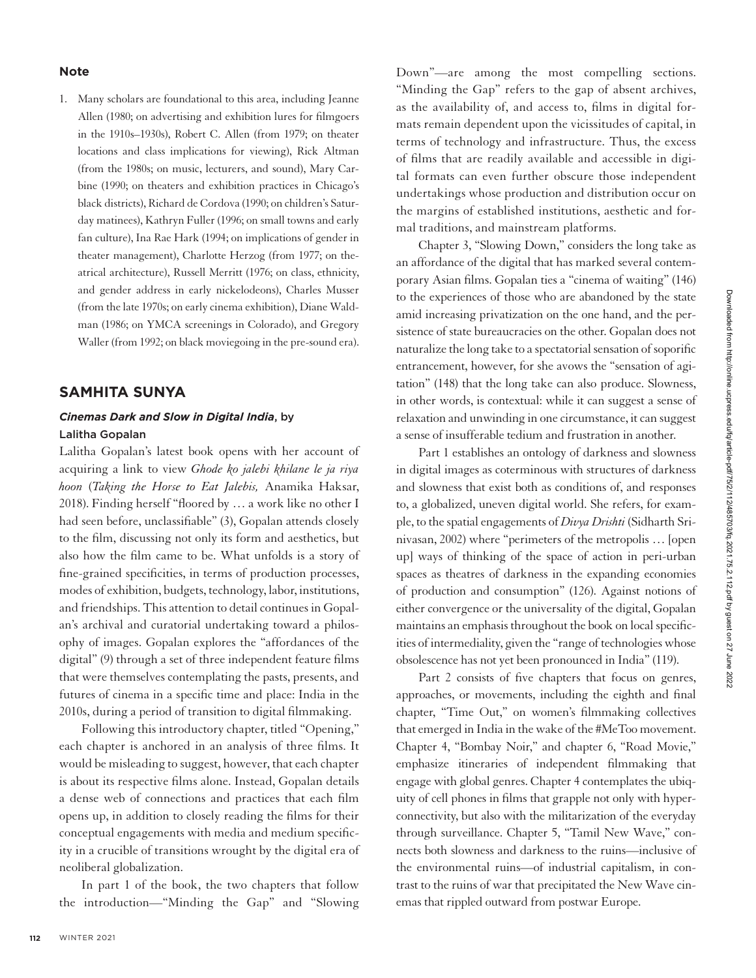#### **Note**

1. Many scholars are foundational to this area, including Jeanne Allen (1980; on advertising and exhibition lures for filmgoers in the 1910s–1930s), Robert C. Allen (from 1979; on theater locations and class implications for viewing), Rick Altman (from the 1980s; on music, lecturers, and sound), Mary Carbine (1990; on theaters and exhibition practices in Chicago's black districts), Richard de Cordova (1990; on children's Saturday matinees), Kathryn Fuller (1996; on small towns and early fan culture), Ina Rae Hark (1994; on implications of gender in theater management), Charlotte Herzog (from 1977; on theatrical architecture), Russell Merritt (1976; on class, ethnicity, and gender address in early nickelodeons), Charles Musser (from the late 1970s; on early cinema exhibition), Diane Waldman (1986; on YMCA screenings in Colorado), and Gregory Waller (from 1992; on black moviegoing in the pre-sound era).

## **SAMHITA SUNYA**

### *Cinemas Dark and Slow in Digital India*, by Lalitha Gopalan

Lalitha Gopalan's latest book opens with her account of acquiring a link to view *Ghode ko jalebi khilane le ja riya hoon* (*Taking the Horse to Eat Jalebis,* Anamika Haksar, 2018). Finding herself "floored by … a work like no other I had seen before, unclassifiable" (3), Gopalan attends closely to the film, discussing not only its form and aesthetics, but also how the film came to be. What unfolds is a story of fine-grained specificities, in terms of production processes, modes of exhibition, budgets, technology, labor, institutions, and friendships. This attention to detail continues in Gopalan's archival and curatorial undertaking toward a philosophy of images. Gopalan explores the "affordances of the digital" (9) through a set of three independent feature films that were themselves contemplating the pasts, presents, and futures of cinema in a specific time and place: India in the 2010s, during a period of transition to digital filmmaking.

Following this introductory chapter, titled "Opening," each chapter is anchored in an analysis of three films. It would be misleading to suggest, however, that each chapter is about its respective films alone. Instead, Gopalan details a dense web of connections and practices that each film opens up, in addition to closely reading the films for their conceptual engagements with media and medium specificity in a crucible of transitions wrought by the digital era of neoliberal globalization.

In part 1 of the book, the two chapters that follow the introduction—"Minding the Gap" and "Slowing

Down"—are among the most compelling sections. "Minding the Gap" refers to the gap of absent archives, as the availability of, and access to, films in digital formats remain dependent upon the vicissitudes of capital, in terms of technology and infrastructure. Thus, the excess of films that are readily available and accessible in digital formats can even further obscure those independent undertakings whose production and distribution occur on the margins of established institutions, aesthetic and formal traditions, and mainstream platforms.

Chapter 3, "Slowing Down," considers the long take as an affordance of the digital that has marked several contemporary Asian films. Gopalan ties a "cinema of waiting" (146) to the experiences of those who are abandoned by the state amid increasing privatization on the one hand, and the persistence of state bureaucracies on the other. Gopalan does not naturalize the long take to a spectatorial sensation of soporific entrancement, however, for she avows the "sensation of agitation" (148) that the long take can also produce. Slowness, in other words, is contextual: while it can suggest a sense of relaxation and unwinding in one circumstance, it can suggest a sense of insufferable tedium and frustration in another.

Part 1 establishes an ontology of darkness and slowness in digital images as coterminous with structures of darkness and slowness that exist both as conditions of, and responses to, a globalized, uneven digital world. She refers, for example, to the spatial engagements of *Divya Drishti* (Sidharth Srinivasan, 2002) where "perimeters of the metropolis … [open up] ways of thinking of the space of action in peri-urban spaces as theatres of darkness in the expanding economies of production and consumption" (126). Against notions of either convergence or the universality of the digital, Gopalan maintains an emphasis throughout the book on local specificities of intermediality, given the "range of technologies whose obsolescence has not yet been pronounced in India" (119).

Part 2 consists of five chapters that focus on genres, approaches, or movements, including the eighth and final chapter, "Time Out," on women's filmmaking collectives that emerged in India in the wake of the #MeToo movement. Chapter 4, "Bombay Noir," and chapter 6, "Road Movie," emphasize itineraries of independent filmmaking that engage with global genres. Chapter 4 contemplates the ubiquity of cell phones in films that grapple not only with hyperconnectivity, but also with the militarization of the everyday through surveillance. Chapter 5, "Tamil New Wave," connects both slowness and darkness to the ruins—inclusive of the environmental ruins—of industrial capitalism, in contrast to the ruins of war that precipitated the New Wave cinemas that rippled outward from postwar Europe.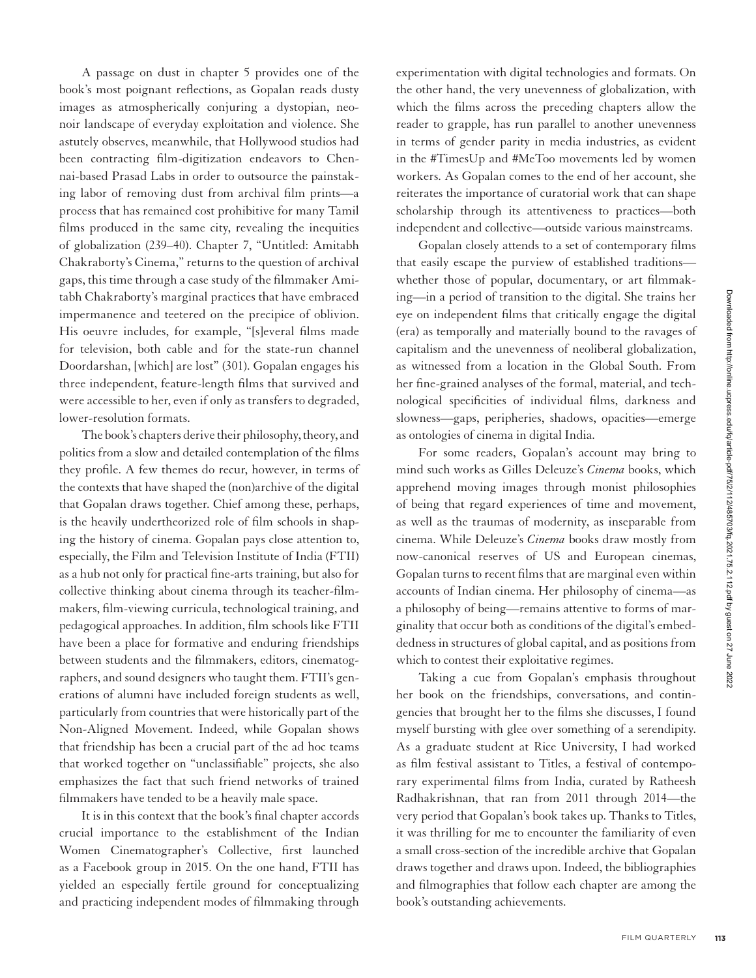A passage on dust in chapter 5 provides one of the book's most poignant reflections, as Gopalan reads dusty images as atmospherically conjuring a dystopian, neonoir landscape of everyday exploitation and violence. She astutely observes, meanwhile, that Hollywood studios had been contracting film-digitization endeavors to Chennai-based Prasad Labs in order to outsource the painstaking labor of removing dust from archival film prints—a process that has remained cost prohibitive for many Tamil films produced in the same city, revealing the inequities of globalization (239–40). Chapter 7, "Untitled: Amitabh Chakraborty's Cinema," returns to the question of archival gaps, this time through a case study of the filmmaker Amitabh Chakraborty's marginal practices that have embraced impermanence and teetered on the precipice of oblivion. His oeuvre includes, for example, "[s]everal films made for television, both cable and for the state-run channel Doordarshan, [which] are lost" (301). Gopalan engages his three independent, feature-length films that survived and were accessible to her, even if only as transfers to degraded, lower-resolution formats.

The book's chapters derive their philosophy, theory, and politics from a slow and detailed contemplation of the films they profile. A few themes do recur, however, in terms of the contexts that have shaped the (non)archive of the digital that Gopalan draws together. Chief among these, perhaps, is the heavily undertheorized role of film schools in shaping the history of cinema. Gopalan pays close attention to, especially, the Film and Television Institute of India (FTII) as a hub not only for practical fine-arts training, but also for collective thinking about cinema through its teacher-filmmakers, film-viewing curricula, technological training, and pedagogical approaches. In addition, film schools like FTII have been a place for formative and enduring friendships between students and the filmmakers, editors, cinematographers, and sound designers who taught them. FTII's generations of alumni have included foreign students as well, particularly from countries that were historically part of the Non-Aligned Movement. Indeed, while Gopalan shows that friendship has been a crucial part of the ad hoc teams that worked together on "unclassifiable" projects, she also emphasizes the fact that such friend networks of trained filmmakers have tended to be a heavily male space.

It is in this context that the book's final chapter accords crucial importance to the establishment of the Indian Women Cinematographer's Collective, first launched as a Facebook group in 2015. On the one hand, FTII has yielded an especially fertile ground for conceptualizing and practicing independent modes of filmmaking through

experimentation with digital technologies and formats. On the other hand, the very unevenness of globalization, with which the films across the preceding chapters allow the reader to grapple, has run parallel to another unevenness in terms of gender parity in media industries, as evident in the #TimesUp and #MeToo movements led by women workers. As Gopalan comes to the end of her account, she reiterates the importance of curatorial work that can shape scholarship through its attentiveness to practices—both independent and collective—outside various mainstreams.

Gopalan closely attends to a set of contemporary films that easily escape the purview of established traditions whether those of popular, documentary, or art filmmaking—in a period of transition to the digital. She trains her eye on independent films that critically engage the digital (era) as temporally and materially bound to the ravages of capitalism and the unevenness of neoliberal globalization, as witnessed from a location in the Global South. From her fine-grained analyses of the formal, material, and technological specificities of individual films, darkness and slowness—gaps, peripheries, shadows, opacities—emerge as ontologies of cinema in digital India.

For some readers, Gopalan's account may bring to mind such works as Gilles Deleuze's *Cinema* books, which apprehend moving images through monist philosophies of being that regard experiences of time and movement, as well as the traumas of modernity, as inseparable from cinema. While Deleuze's *Cinema* books draw mostly from now-canonical reserves of US and European cinemas, Gopalan turns to recent films that are marginal even within accounts of Indian cinema. Her philosophy of cinema—as a philosophy of being—remains attentive to forms of marginality that occur both as conditions of the digital's embeddedness in structures of global capital, and as positions from which to contest their exploitative regimes.

Taking a cue from Gopalan's emphasis throughout her book on the friendships, conversations, and contingencies that brought her to the films she discusses, I found myself bursting with glee over something of a serendipity. As a graduate student at Rice University, I had worked as film festival assistant to Titles, a festival of contemporary experimental films from India, curated by Ratheesh Radhakrishnan, that ran from 2011 through 2014—the very period that Gopalan's book takes up. Thanks to Titles, it was thrilling for me to encounter the familiarity of even a small cross-section of the incredible archive that Gopalan draws together and draws upon. Indeed, the bibliographies and filmographies that follow each chapter are among the book's outstanding achievements.